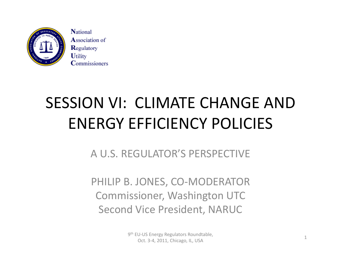

**National Association of** Regulatory **Utility Commissioners** 

## SESSION VI: CLIMATE CHANGE AND ENERGY EFFICIENCY POLICIES

A U.S. REGULATOR'S PERSPECTIVE

PHILIP B. JONES, CO‐MODERATOR Commissioner, Washington UTC Second Vice President, NARUC

> 9<sup>th</sup> EU-US Energy Regulators Roundtable, of the strong, regardered the membership of the strong strong the strong of the strong strong strong strong str<br>Oct. 3-4, 2011, Chicago, IL, USA 1999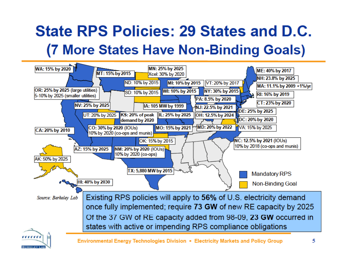#### **State RPS Policies: 29 States and D.C.** (7 More States Have Non-Binding Goals)

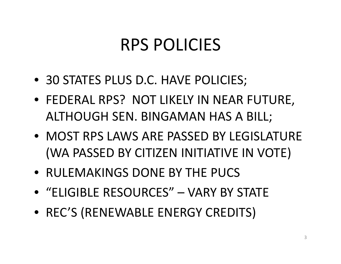### RPS POLICIES

- 30 STATES PLUS D.C. HAVE POLICIES;
- FEDERAL RPS? NOT LIKELY IN NEAR FUTURE, ALTHOUGH SEN. BINGAMAN HAS A BILL;
- MOST RPS LAWS ARE PASSED BY LEGISLATURE (WA PASSED BY CITIZEN INITIATIVE IN VOTE)
- RULEMAKINGS DONE BY THE PUCS
- "ELIGIBLE RESOURCES" VARY BY STATE
- REC'S (RENEWABLE ENERGY CREDITS)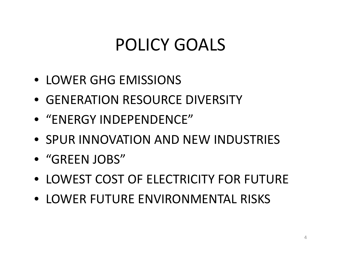## POLICY GOALS

- LOWER GHG EMISSIONS
- GENERATION RESOURCE DIVERSITY
- "ENERGY INDEPENDENCE"
- SPUR INNOVATION AND NEW INDUSTRIES
- "GREEN JOBS"
- LOWEST COST OF ELECTRICITY FOR FUTURE
- LOWER FUTURE ENVIRONMENTAL RISKS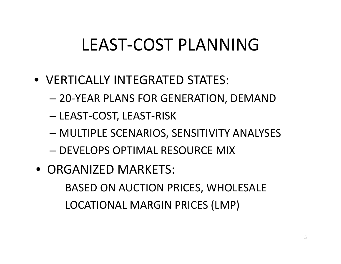## LEAST‐COST PLANNING

- VERTICALLY INTEGRATED STATES:
	- –20‐YEAR PLANS FOR GENERATION, DEMAND
	- –LEAST‐COST, LEAST‐RISK
	- MULTIPLE SCENARIOS, SENSITIVITY ANALYSES
	- DEVELOPS OPTIMAL RESOURCE MIX
- ORGANIZED MARKETS: BASED ON AUCTION PRICES, WHOLESALE

LOCATIONAL MARGIN PRICES (LMP)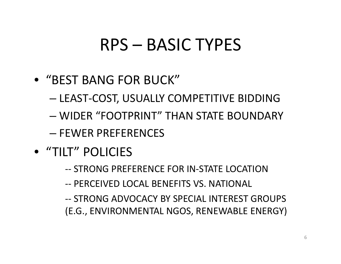### RPS – BASIC TYPES

- "BEST BANG FOR BUCK"
	- –— LEAST-COST, USUALLY COMPETITIVE BIDDING
	- WIDER "FOOTPRINT" THAN STATE BOUNDARY
	- FEWER PREFERENCES
- "TILT" POLICIES
	- ‐‐ STRONG PREFERENCE FOR IN‐STATE LOCATION
	- ‐‐ PERCEIVED LOCAL BENEFITS VS. NATIONAL
	- ‐‐ STRONG ADVOCACY BY SPECIAL INTEREST GROUPS (E.G., ENVIRONMENTAL NGOS, RENEWABLE ENERGY)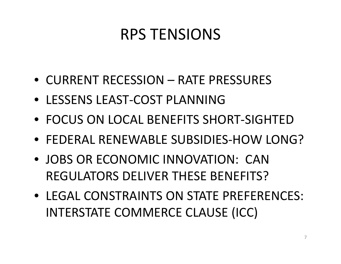#### RPS TENSIONS

- CURRENT RECESSION RATE PRESSURES
- LESSENS LEAST‐COST PLANNING
- FOCUS ON LOCAL BENEFITS SHORT-SIGHTED
- FEDERAL RENEWABLE SUBSIDIES‐HOW LONG?
- JOBS OR ECONOMIC INNOVATION: CANREGULATORS DELIVER THESE BENEFITS?
- LEGAL CONSTRAINTS ON STATE PREFERENCES: INTERSTATE COMMERCE CLAUSE (ICC)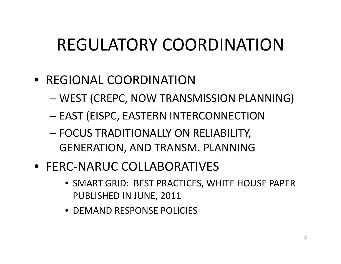# REGULATORY COORDINATION

- REGIONAL COORDINATION
	- –WEST (CREPC, NOW TRANSMISSION PLANNING)
	- – $-$  EAST (EISPC, EASTERN INTERCONNECTION
	- FOCUS TRADITIONALLY ON RELIABILITY, GENERATION, AND TRANSM. PLANNING
- FERC‐NARUC COLLABORATIVES
	- SMART GRID: BEST PRACTICES PRACTICES, WHITE HOUSE PAPER PUBLISHED IN JUNE, 2011
	- DEMAND RESPONSE POLICIES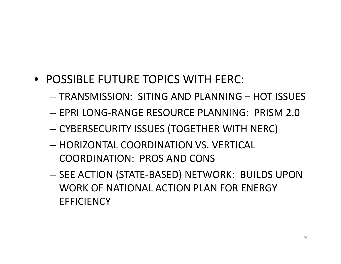- POSSIBLE FUTURE TOPICS WITH FERC:
	- TRANSMISSION: SITING AND PLANNING HOT ISSUES
	- EPRI LONG‐RANGE RESOURCE PLANNING: PRISM 2.0
	- – $-$  CYBERSECURITY ISSUES (TOGETHER WITH NERC)
	- HORIZONTAL COORDINATION VS. VERTICAL COORDINATION: PROS AND CONS
	- SEE ACTION (STATE‐BASED) NETWORK: BUILDS UPON WORK OF NATIONAL ACTION PLAN FOR ENERGY **EFFICIENCY**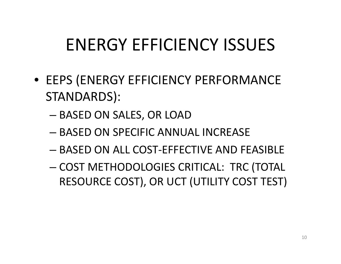# ENERGY EFFICIENCY ISSUES

- EEPS (ENERGY EFFICIENCY PERFORMANCE STANDARDS):
	- BASED ON SALES, OR LOAD
	- BASED ON SPECIFIC ANNUAL INCREASE
	- BASED ON ALL COST‐EFFECTIVE AND FEASIBLE
	- COST METHODOLOGIES CRITICAL: TRC (TOTAL RESOURCE COST), OR UCT (UTILITY COST TEST)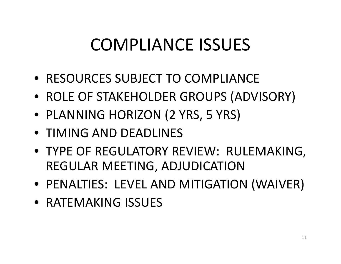## COMPLIANCE ISSUES

- RESOURCES SUBJECT TO COMPLIANCE
- ROLE OF STAKEHOLDER GROUPS (ADVISORY)
- PLANNING HORIZON (2 YRS, 5 YRS)
- TIMING AND DEADLINES
- TYPE OF REGULATORY REVIEW: RULEMAKING, REGULAR MEETING, ADJUDICATION
- PENALTIES: LEVEL AND MITIGATION (WAIVER)
- RATEMAKING ISSUES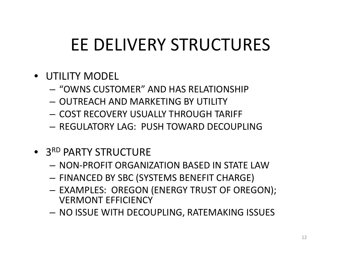# EE DELIVERY STRUCTURES

- UTILITY MODEL
	- "OWNS CUSTOMER" AND HAS RELATIONSHIP
	- OUTREACH AND MARKETING BY UTILITY
	- COST RECOVERY USUALLY THROUGH TARIFF
	- REGULATORY LAG: PUSH TOWARD DECOUPLING
- **3<sup>RD</sup> PARTY STRUCTURE** 
	- NON‐PROFIT ORGANIZATION BASED IN STATE LAW
	- FINANCED BY SBC (SYSTEMS BENEFIT CHARGE)
	- EXAMPLES: OREGON (ENERGY TRUST OF OREGON); VERMONT EFFICIENCY
	- NO ISSUE WITH DECOUPLING, RATEMAKING ISSUES